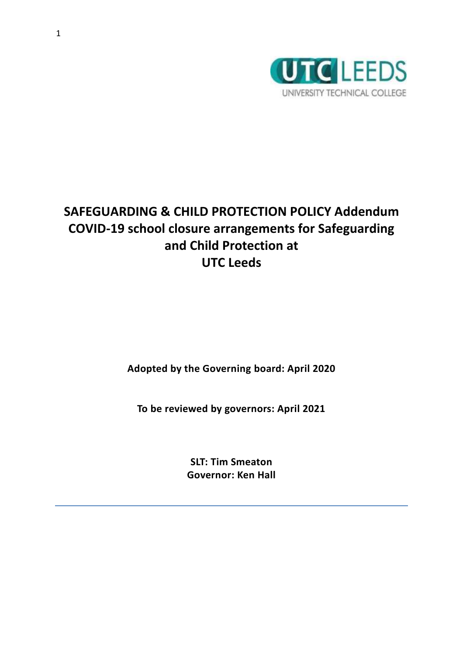

# **SAFEGUARDING & CHILD PROTECTION POLICY Addendum COVID-19 school closure arrangements for Safeguarding and Child Protection at UTC Leeds**

**Adopted by the Governing board: April 2020**

**To be reviewed by governors: April 2021**

**SLT: Tim Smeaton Governor: Ken Hall**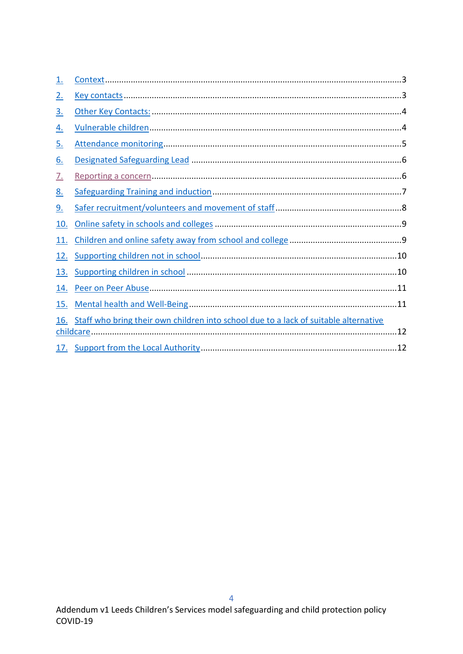| $\overline{1}$ . |                                                                                      |  |  |  |
|------------------|--------------------------------------------------------------------------------------|--|--|--|
| <u>2.</u>        |                                                                                      |  |  |  |
| <u>3.</u>        |                                                                                      |  |  |  |
| <u>4.</u>        |                                                                                      |  |  |  |
| <u>5.</u>        |                                                                                      |  |  |  |
| <u>6.</u>        |                                                                                      |  |  |  |
| <u>7.</u>        |                                                                                      |  |  |  |
| <u>8.</u>        |                                                                                      |  |  |  |
| <u>9.</u>        |                                                                                      |  |  |  |
| 10.              |                                                                                      |  |  |  |
| 11.              |                                                                                      |  |  |  |
| 12.              |                                                                                      |  |  |  |
| 13.              |                                                                                      |  |  |  |
| 14.              |                                                                                      |  |  |  |
| 15.              |                                                                                      |  |  |  |
| 16.              | Staff who bring their own children into school due to a lack of suitable alternative |  |  |  |
|                  |                                                                                      |  |  |  |
|                  |                                                                                      |  |  |  |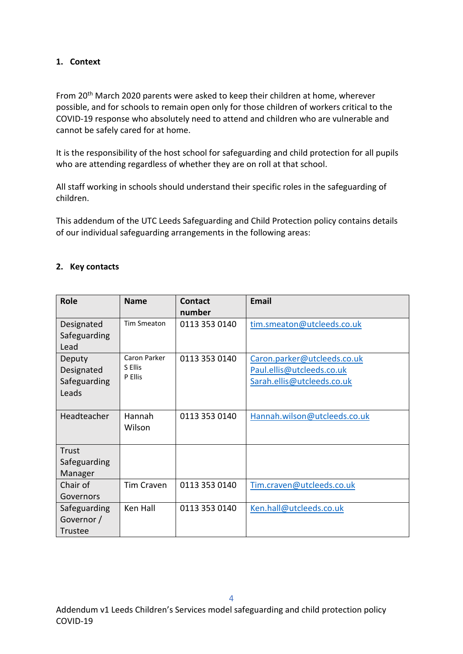# <span id="page-2-0"></span>**1. Context**

From 20<sup>th</sup> March 2020 parents were asked to keep their children at home, wherever possible, and for schools to remain open only for those children of workers critical to the COVID-19 response who absolutely need to attend and children who are vulnerable and cannot be safely cared for at home.

It is the responsibility of the host school for safeguarding and child protection for all pupils who are attending regardless of whether they are on roll at that school.

All staff working in schools should understand their specific roles in the safeguarding of children.

This addendum of the UTC Leeds Safeguarding and Child Protection policy contains details of our individual safeguarding arrangements in the following areas:

#### <span id="page-2-1"></span>**2. Key contacts**

| <b>Role</b>                                   | <b>Name</b>                        | Contact<br>number | <b>Email</b>                                                                           |
|-----------------------------------------------|------------------------------------|-------------------|----------------------------------------------------------------------------------------|
| Designated<br>Safeguarding<br>Lead            | <b>Tim Smeaton</b>                 | 0113 353 0140     | tim.smeaton@utcleeds.co.uk                                                             |
| Deputy<br>Designated<br>Safeguarding<br>Leads | Caron Parker<br>S Ellis<br>P Ellis | 0113 353 0140     | Caron.parker@utcleeds.co.uk<br>Paul.ellis@utcleeds.co.uk<br>Sarah.ellis@utcleeds.co.uk |
| Headteacher                                   | Hannah<br>Wilson                   | 0113 353 0140     | Hannah.wilson@utcleeds.co.uk                                                           |
| Trust<br>Safeguarding<br>Manager              |                                    |                   |                                                                                        |
| Chair of<br>Governors                         | <b>Tim Craven</b>                  | 0113 353 0140     | Tim.craven@utcleeds.co.uk                                                              |
| Safeguarding<br>Governor /<br>Trustee         | Ken Hall                           | 0113 353 0140     | Ken.hall@utcleeds.co.uk                                                                |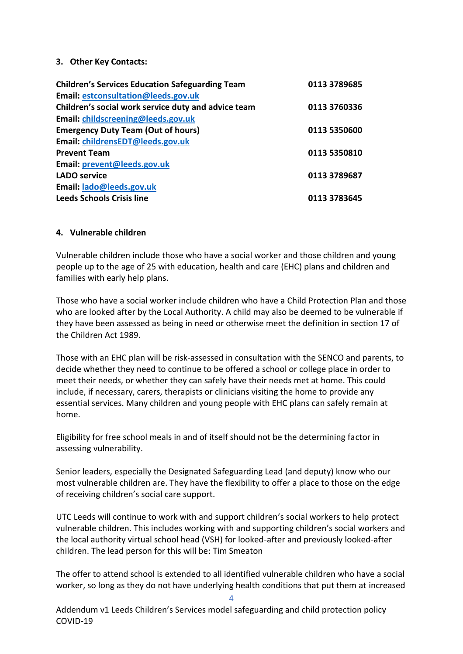#### <span id="page-3-0"></span>**3. Other Key Contacts:**

| Email: estconsultation@leeds.gov.uk<br>Children's social work service duty and advice team<br>Email: childscreening@leeds.gov.uk<br><b>Emergency Duty Team (Out of hours)</b><br>Email: childrensEDT@leeds.gov.uk<br><b>Prevent Team</b><br>Email: prevent@leeds.gov.uk<br><b>LADO</b> service<br>Email: lado@leeds.gov.uk<br><b>Leeds Schools Crisis line</b> | <b>Children's Services Education Safeguarding Team</b> | 0113 3789685 |
|----------------------------------------------------------------------------------------------------------------------------------------------------------------------------------------------------------------------------------------------------------------------------------------------------------------------------------------------------------------|--------------------------------------------------------|--------------|
|                                                                                                                                                                                                                                                                                                                                                                |                                                        |              |
|                                                                                                                                                                                                                                                                                                                                                                |                                                        | 0113 3760336 |
|                                                                                                                                                                                                                                                                                                                                                                |                                                        |              |
|                                                                                                                                                                                                                                                                                                                                                                |                                                        | 0113 5350600 |
|                                                                                                                                                                                                                                                                                                                                                                |                                                        |              |
|                                                                                                                                                                                                                                                                                                                                                                |                                                        | 0113 5350810 |
|                                                                                                                                                                                                                                                                                                                                                                |                                                        |              |
|                                                                                                                                                                                                                                                                                                                                                                |                                                        | 0113 3789687 |
|                                                                                                                                                                                                                                                                                                                                                                |                                                        |              |
|                                                                                                                                                                                                                                                                                                                                                                |                                                        | 0113 3783645 |

#### <span id="page-3-1"></span>**4. Vulnerable children**

Vulnerable children include those who have a social worker and those children and young people up to the age of 25 with education, health and care (EHC) plans and children and families with early help plans.

Those who have a social worker include children who have a Child Protection Plan and those who are looked after by the Local Authority. A child may also be deemed to be vulnerable if they have been assessed as being in need or otherwise meet the definition in section 17 of the Children Act 1989.

Those with an EHC plan will be risk-assessed in consultation with the SENCO and parents, to decide whether they need to continue to be offered a school or college place in order to meet their needs, or whether they can safely have their needs met at home. This could include, if necessary, carers, therapists or clinicians visiting the home to provide any essential services. Many children and young people with EHC plans can safely remain at home.

Eligibility for free school meals in and of itself should not be the determining factor in assessing vulnerability.

Senior leaders, especially the Designated Safeguarding Lead (and deputy) know who our most vulnerable children are. They have the flexibility to offer a place to those on the edge of receiving children's social care support.

UTC Leeds will continue to work with and support children's social workers to help protect vulnerable children. This includes working with and supporting children's social workers and the local authority virtual school head (VSH) for looked-after and previously looked-after children. The lead person for this will be: Tim Smeaton

The offer to attend school is extended to all identified vulnerable children who have a social worker, so long as they do not have underlying health conditions that put them at increased

4

Addendum v1 Leeds Children's Services model safeguarding and child protection policy COVID-19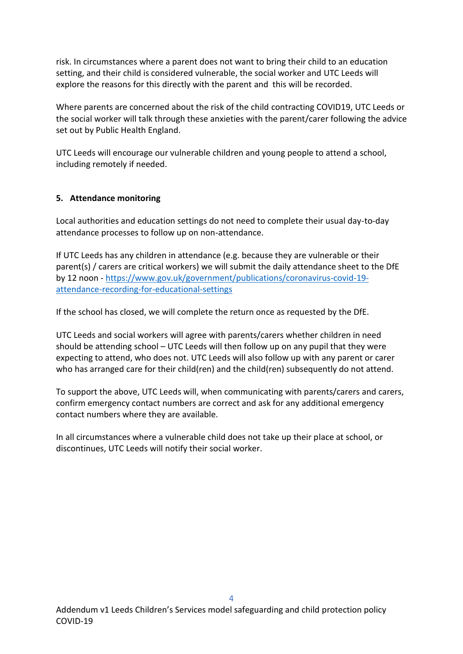risk. In circumstances where a parent does not want to bring their child to an education setting, and their child is considered vulnerable, the social worker and UTC Leeds will explore the reasons for this directly with the parent and this will be recorded.

Where parents are concerned about the risk of the child contracting COVID19, UTC Leeds or the social worker will talk through these anxieties with the parent/carer following the advice set out by Public Health England.

UTC Leeds will encourage our vulnerable children and young people to attend a school, including remotely if needed.

#### <span id="page-4-0"></span>**5. Attendance monitoring**

Local authorities and education settings do not need to complete their usual day-to-day attendance processes to follow up on non-attendance.

If UTC Leeds has any children in attendance (e.g. because they are vulnerable or their parent(s) / carers are critical workers) we will submit the daily attendance sheet to the DfE by 12 noon - [https://www.gov.uk/government/publications/coronavirus-covid-19](about:blank) [attendance-recording-for-educational-settings](about:blank)

If the school has closed, we will complete the return once as requested by the DfE.

UTC Leeds and social workers will agree with parents/carers whether children in need should be attending school – UTC Leeds will then follow up on any pupil that they were expecting to attend, who does not. UTC Leeds will also follow up with any parent or carer who has arranged care for their child(ren) and the child(ren) subsequently do not attend.

To support the above, UTC Leeds will, when communicating with parents/carers and carers, confirm emergency contact numbers are correct and ask for any additional emergency contact numbers where they are available.

In all circumstances where a vulnerable child does not take up their place at school, or discontinues, UTC Leeds will notify their social worker.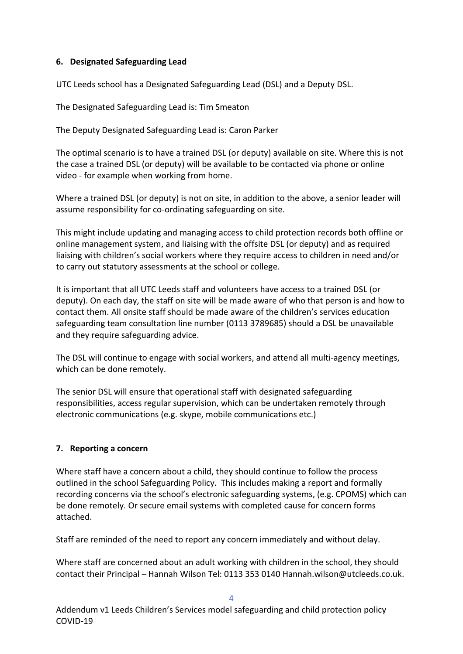#### <span id="page-5-0"></span>**6. Designated Safeguarding Lead**

UTC Leeds school has a Designated Safeguarding Lead (DSL) and a Deputy DSL.

The Designated Safeguarding Lead is: Tim Smeaton

The Deputy Designated Safeguarding Lead is: Caron Parker

The optimal scenario is to have a trained DSL (or deputy) available on site. Where this is not the case a trained DSL (or deputy) will be available to be contacted via phone or online video - for example when working from home.

Where a trained DSL (or deputy) is not on site, in addition to the above, a senior leader will assume responsibility for co-ordinating safeguarding on site.

This might include updating and managing access to child protection records both offline or online management system, and liaising with the offsite DSL (or deputy) and as required liaising with children's social workers where they require access to children in need and/or to carry out statutory assessments at the school or college.

It is important that all UTC Leeds staff and volunteers have access to a trained DSL (or deputy). On each day, the staff on site will be made aware of who that person is and how to contact them. All onsite staff should be made aware of the children's services education safeguarding team consultation line number (0113 3789685) should a DSL be unavailable and they require safeguarding advice.

The DSL will continue to engage with social workers, and attend all multi-agency meetings, which can be done remotely.

The senior DSL will ensure that operational staff with designated safeguarding responsibilities, access regular supervision, which can be undertaken remotely through electronic communications (e.g. skype, mobile communications etc.)

# <span id="page-5-1"></span>**7. Reporting a concern**

Where staff have a concern about a child, they should continue to follow the process outlined in the school Safeguarding Policy. This includes making a report and formally recording concerns via the school's electronic safeguarding systems, (e.g. CPOMS) which can be done remotely. Or secure email systems with completed cause for concern forms attached.

Staff are reminded of the need to report any concern immediately and without delay.

Where staff are concerned about an adult working with children in the school, they should contact their Principal – Hannah Wilson Tel: 0113 353 0140 Hannah.wilson@utcleeds.co.uk.

4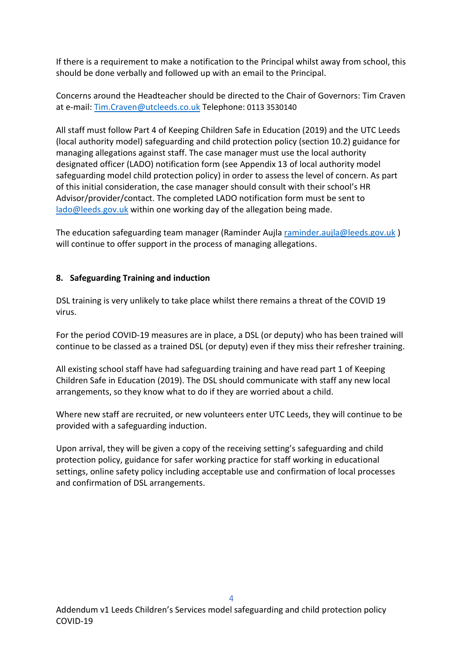If there is a requirement to make a notification to the Principal whilst away from school, this should be done verbally and followed up with an email to the Principal.

Concerns around the Headteacher should be directed to the Chair of Governors: Tim Craven at e-mail: [Tim.Craven@utcleeds.co.uk](mailto:Tim.Craven@utcleeds.co.uk) Telephone: 0113 3530140

All staff must follow Part 4 of Keeping Children Safe in Education (2019) and the UTC Leeds (local authority model) safeguarding and child protection policy (section 10.2) guidance for managing allegations against staff. The case manager must use the local authority designated officer (LADO) notification form (see Appendix 13 of local authority model safeguarding model child protection policy) in order to assess the level of concern. As part of this initial consideration, the case manager should consult with their school's HR Advisor/provider/contact. The completed LADO notification form must be sent to [lado@leeds.gov.uk](about:blank) within one working day of the allegation being made.

The education safeguarding team manager (Raminder Aujla [raminder.aujla@leeds.gov.uk](about:blank) ) will continue to offer support in the process of managing allegations.

#### <span id="page-6-0"></span>**8. Safeguarding Training and induction**

DSL training is very unlikely to take place whilst there remains a threat of the COVID 19 virus.

For the period COVID-19 measures are in place, a DSL (or deputy) who has been trained will continue to be classed as a trained DSL (or deputy) even if they miss their refresher training.

All existing school staff have had safeguarding training and have read part 1 of Keeping Children Safe in Education (2019). The DSL should communicate with staff any new local arrangements, so they know what to do if they are worried about a child.

Where new staff are recruited, or new volunteers enter UTC Leeds, they will continue to be provided with a safeguarding induction.

Upon arrival, they will be given a copy of the receiving setting's safeguarding and child protection policy, guidance for safer working practice for staff working in educational settings, online safety policy including acceptable use and confirmation of local processes and confirmation of DSL arrangements.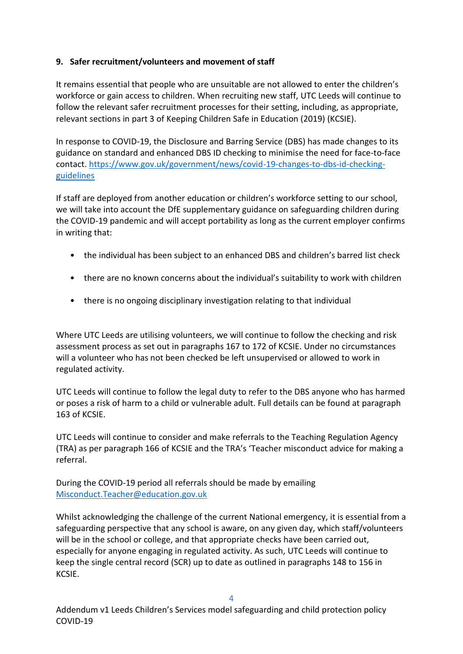### <span id="page-7-0"></span>**9. Safer recruitment/volunteers and movement of staff**

It remains essential that people who are unsuitable are not allowed to enter the children's workforce or gain access to children. When recruiting new staff, UTC Leeds will continue to follow the relevant safer recruitment processes for their setting, including, as appropriate, relevant sections in part 3 of Keeping Children Safe in Education (2019) (KCSIE).

In response to COVID-19, the Disclosure and Barring Service (DBS) has made changes to its guidance on standard and enhanced DBS ID checking to minimise the need for face-to-face contact. [https://www.gov.uk/government/news/covid-19-changes-to-dbs-id-checking](about:blank)[guidelines](about:blank)

If staff are deployed from another education or children's workforce setting to our school, we will take into account the DfE supplementary guidance on safeguarding children during the COVID-19 pandemic and will accept portability as long as the current employer confirms in writing that:

- the individual has been subject to an enhanced DBS and children's barred list check
- there are no known concerns about the individual's suitability to work with children
- there is no ongoing disciplinary investigation relating to that individual

Where UTC Leeds are utilising volunteers, we will continue to follow the checking and risk assessment process as set out in paragraphs 167 to 172 of KCSIE. Under no circumstances will a volunteer who has not been checked be left unsupervised or allowed to work in regulated activity.

UTC Leeds will continue to follow the legal duty to refer to the DBS anyone who has harmed or poses a risk of harm to a child or vulnerable adult. Full details can be found at paragraph 163 of KCSIE.

UTC Leeds will continue to consider and make referrals to the Teaching Regulation Agency (TRA) as per paragraph 166 of KCSIE and the TRA's 'Teacher misconduct advice for making a referral.

During the COVID-19 period all referrals should be made by emailing [Misconduct.Teacher@education.gov.uk](about:blank)

Whilst acknowledging the challenge of the current National emergency, it is essential from a safeguarding perspective that any school is aware, on any given day, which staff/volunteers will be in the school or college, and that appropriate checks have been carried out, especially for anyone engaging in regulated activity. As such, UTC Leeds will continue to keep the single central record (SCR) up to date as outlined in paragraphs 148 to 156 in KCSIE.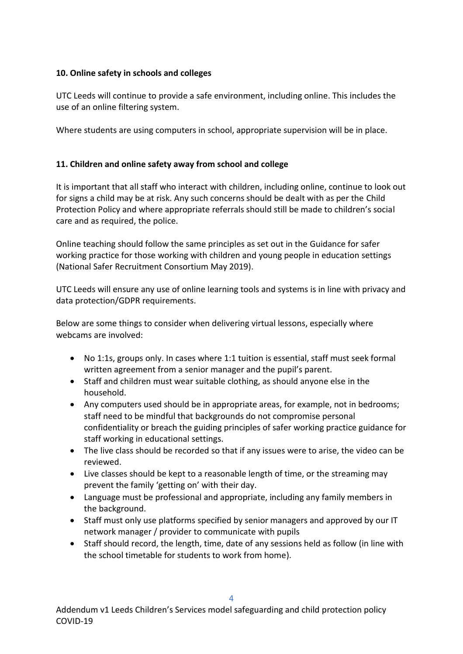### <span id="page-8-0"></span>**10. Online safety in schools and colleges**

UTC Leeds will continue to provide a safe environment, including online. This includes the use of an online filtering system.

Where students are using computers in school, appropriate supervision will be in place.

#### <span id="page-8-1"></span>**11. Children and online safety away from school and college**

It is important that all staff who interact with children, including online, continue to look out for signs a child may be at risk. Any such concerns should be dealt with as per the Child Protection Policy and where appropriate referrals should still be made to children's social care and as required, the police.

Online teaching should follow the same principles as set out in the Guidance for safer working practice for those working with children and young people in education settings (National Safer Recruitment Consortium May 2019).

UTC Leeds will ensure any use of online learning tools and systems is in line with privacy and data protection/GDPR requirements.

Below are some things to consider when delivering virtual lessons, especially where webcams are involved:

- No 1:1s, groups only. In cases where 1:1 tuition is essential, staff must seek formal written agreement from a senior manager and the pupil's parent.
- Staff and children must wear suitable clothing, as should anyone else in the household.
- Any computers used should be in appropriate areas, for example, not in bedrooms; staff need to be mindful that backgrounds do not compromise personal confidentiality or breach the guiding principles of safer working practice guidance for staff working in educational settings.
- The live class should be recorded so that if any issues were to arise, the video can be reviewed.
- Live classes should be kept to a reasonable length of time, or the streaming may prevent the family 'getting on' with their day.
- Language must be professional and appropriate, including any family members in the background.
- Staff must only use platforms specified by senior managers and approved by our IT network manager / provider to communicate with pupils
- Staff should record, the length, time, date of any sessions held as follow (in line with the school timetable for students to work from home).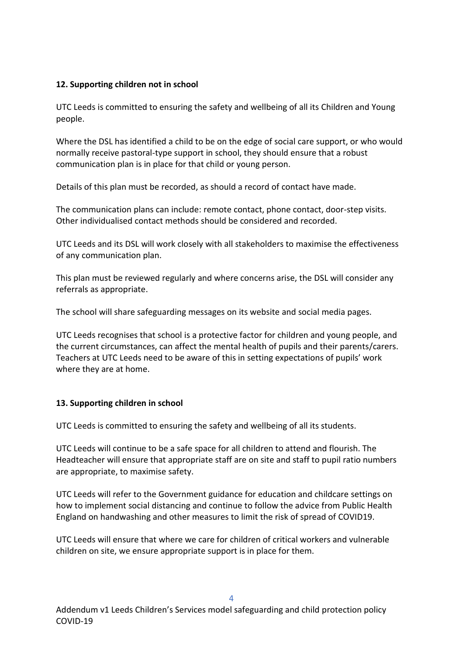# <span id="page-9-0"></span>**12. Supporting children not in school**

UTC Leeds is committed to ensuring the safety and wellbeing of all its Children and Young people.

Where the DSL has identified a child to be on the edge of social care support, or who would normally receive pastoral-type support in school, they should ensure that a robust communication plan is in place for that child or young person.

Details of this plan must be recorded, as should a record of contact have made.

The communication plans can include: remote contact, phone contact, door-step visits. Other individualised contact methods should be considered and recorded.

UTC Leeds and its DSL will work closely with all stakeholders to maximise the effectiveness of any communication plan.

This plan must be reviewed regularly and where concerns arise, the DSL will consider any referrals as appropriate.

The school will share safeguarding messages on its website and social media pages.

UTC Leeds recognises that school is a protective factor for children and young people, and the current circumstances, can affect the mental health of pupils and their parents/carers. Teachers at UTC Leeds need to be aware of this in setting expectations of pupils' work where they are at home.

# <span id="page-9-1"></span>**13. Supporting children in school**

UTC Leeds is committed to ensuring the safety and wellbeing of all its students.

UTC Leeds will continue to be a safe space for all children to attend and flourish. The Headteacher will ensure that appropriate staff are on site and staff to pupil ratio numbers are appropriate, to maximise safety.

UTC Leeds will refer to the Government guidance for education and childcare settings on how to implement social distancing and continue to follow the advice from Public Health England on handwashing and other measures to limit the risk of spread of COVID19.

UTC Leeds will ensure that where we care for children of critical workers and vulnerable children on site, we ensure appropriate support is in place for them.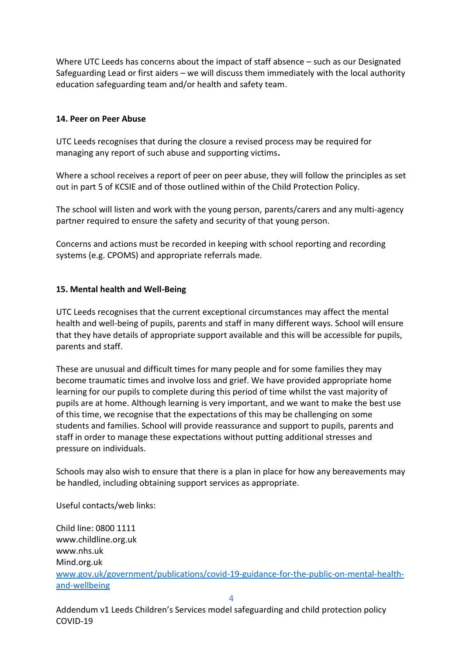Where UTC Leeds has concerns about the impact of staff absence – such as our Designated Safeguarding Lead or first aiders – we will discuss them immediately with the local authority education safeguarding team and/or health and safety team.

#### <span id="page-10-0"></span>**14. Peer on Peer Abuse**

UTC Leeds recognises that during the closure a revised process may be required for managing any report of such abuse and supporting victims**.** 

Where a school receives a report of peer on peer abuse, they will follow the principles as set out in part 5 of KCSIE and of those outlined within of the Child Protection Policy.

The school will listen and work with the young person, parents/carers and any multi-agency partner required to ensure the safety and security of that young person.

Concerns and actions must be recorded in keeping with school reporting and recording systems (e.g. CPOMS) and appropriate referrals made.

#### <span id="page-10-1"></span>**15. Mental health and Well-Being**

UTC Leeds recognises that the current exceptional circumstances may affect the mental health and well-being of pupils, parents and staff in many different ways. School will ensure that they have details of appropriate support available and this will be accessible for pupils, parents and staff.

These are unusual and difficult times for many people and for some families they may become traumatic times and involve loss and grief. We have provided appropriate home learning for our pupils to complete during this period of time whilst the vast majority of pupils are at home. Although learning is very important, and we want to make the best use of this time, we recognise that the expectations of this may be challenging on some students and families. School will provide reassurance and support to pupils, parents and staff in order to manage these expectations without putting additional stresses and pressure on individuals.

Schools may also wish to ensure that there is a plan in place for how any bereavements may be handled, including obtaining support services as appropriate.

Useful contacts/web links:

Child line: 0800 1111 www.childline.org.uk www.nhs.uk Mind.org.uk [www.gov.uk/government/publications/covid-19-guidance-for-the-public-on-mental-health](about:blank)[and-wellbeing](about:blank)

4